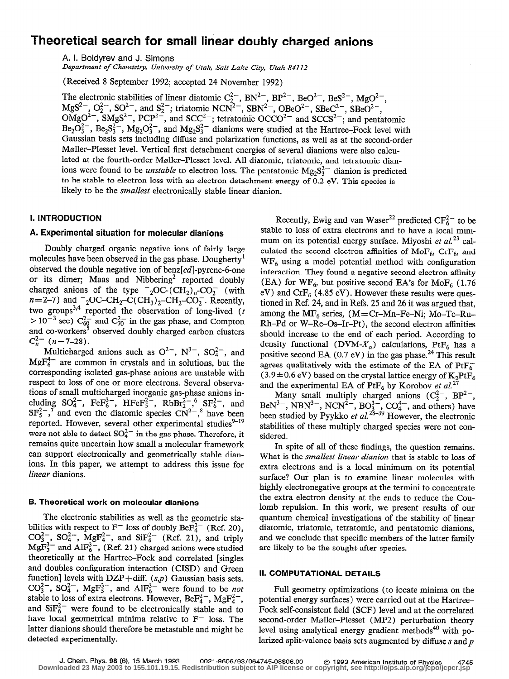# Theoretical search for small linear doubly charged anions

A. I. Boldyrev and J. Simons

Department of Chemistry, University of Utah, Salt Lake City, Utah 84112

(Received 8 September 1992; accepted 24 November 1992)

The electronic stabilities of linear diatomic  $C_{\frac{1}{2}}$ , BN<sup>2</sup>, BP<sup>2</sup>, BeO<sup>2</sup>, BeS<sup>2</sup>, MgO<sup>2</sup>  $MgS_2$ ,  $O_2$ ,  $SO_2$ , and  $S_2$ ; triatomic NCN<sup>2</sup>, SBN<sup>2</sup>, OBeO<sup>2</sup>, SBeC<sup>2</sup>, SBeO<sup>2</sup>,  $\sum_{\text{C}^2}$ ,  $\sum_{\text{C}^2}$ ,  $\sum_{\text{C}^2}$ , and  $\sum_{\text{C}^2}$ ; tetratomic OCCO<sup>2</sup> and SCCS<sup>2</sup>; and pentatomic  $Be_2O_3^{2-}$ ,  $Be_2S_3^{2-}$ ,  $Mg_2O_3^{2-}$ , and  $Mg_2S_3^{2-}$  dianions were studied at the Hartree-Fock level with Gaussian basis sets including diffuse and polarization functions, as well as at the second-order Møller-Plesset level. Vertical first detachment energies of several dianions were also calculated at the fourth-order Møller-Plesset level. All diatomic, triatomic, and tetratomic dianions were found to be *unstable* to electron loss. The pentatomic  $Mg_2S_3^{2-}$  dianion is predicted to be stable to electron loss with an electron detachment energy of 0.2 eV. This species is likely to be the smallest electronically stable linear dianion.

#### I. INTRODUCTION

#### A. Experimental situation for molecular dianions

Doubly charged organic negative ions of fairly large molecules have been observed in the gas phase. Dougherty' observed the double negative ion of benz $[cd]$ -pyrene-6-one or its dimer; Maas and Nibbering<sup>2</sup> reported doubly charged anions of the type  $^{-}_{2}$ OC-(CH<sub>2</sub>)<sub>n</sub>-CO<sub>2</sub> (with  $n = 2-7$ ) and  $_{24}$  2OC-CH<sub>2</sub>-C(CH<sub>3</sub>)<sub>2</sub>-CH<sub>2</sub>-CO<sub>2</sub>. Recently, two groups reported the observation of long-lived  $(t)$  $>$  10 sec) C<sub>60</sub> and C<sub>70</sub> in the gas phase, and Compton and co-workers' observed doubly charged carbon clusters  $C_n^{2-}$  (n=7-28).

Multicharged anions such as  $O^{2-}$ ,  $N^{3-}$ ,  $SO_4^{2-}$ , and  $MgF_6^{4-}$  are common in crystals and in solutions, but the corresponding isolated gas-phase anions are unstable with respect to loss of one or more electrons. Several observa-<br>tions of small multicharged inorganic gas-phase anions intions of small multicharged inorganic gas-phase anions including  $SO_4$ ,  $Fer_6$ ,  $Fer_5$ ,  $Robr_2$ ,  $SF_6$ , and  $ST_5$ , and even the diatomic species  $C_N^2$ , have been reported. However, several other experimental studies<sup>9-19</sup> were not able to detect  $SO_4^{2-}$  in the gas phase. Therefore, it remains quite uncertain how small a molecular framework can support electronically and geometrically stable dianions. In this paper, we attempt to address this issue for linear dianions.

#### B. Theoretical work on molecular dianions

The electronic stabilities as well as the geometric stabilities with respect to  $F^-$  loss of doubly Be $F_4^{2-}$  (Ref. 20),  $\text{CO}_3$ ,  $\text{SO}_4$ , MgF<sub>4</sub>, and SIF<sub>6</sub> (Ref. 21), and triply  $\arg_{5}$  and AlF<sub>6</sub>, (Ref. 21) charged anions were studied theoretically at the Hartree-Fock and correlated [singles and doubles configuration interaction (CISD) and Green function] levels with  $DZP+diff.$  (s,p) Gaussian basis sets.  $CO_3^{2-}$ ,  $SO_4^{2-}$ ,  $MgF_5^{3-}$ , and  $AlF_6^{3-}$  were found to be *not* stable to loss of extra electrons. However, Be $F_4^{2-}$ , Mg $F_4^{2-}$ , and  $\text{SiF}_6^{2-}$  were found to be electronically stable and to have local geometrical minima relative to  $F^-$  loss. The latter dianions should therefore be metastable and might be detected experimentally.

Recently, Ewig and van Waser<sup>22</sup> predicted CF<sub>6</sub><sup>-</sup> to be stable to loss of extra electrons and to have a local minimum on its potential energy surface. Miyoshi et  $al^{23}$  calculated the second electron affinities of MoF<sub>6</sub>, CrF<sub>6</sub>, and  $WF<sub>6</sub>$  using a model potential method with configuration interaction. They found a negative second electron affinity (EA) for  $WF_6$ , but positive second EA's for MoF<sub>6</sub> (1.76) eV) and  $CrF_6$  (4.85 eV). However these results were questioned in Ref. 24, and in Refs. 25 and 26 it was argued that, among the  $MF_6$  series,  $(M = Cr - Mn - Fe - Ni; Mo - Tc - Ru -$ Rh-Pd or W-Re-Os-Ir-Pt), the second electron affinities should increase to the end of each period. According to density functional (DVM- $X_{\alpha}$ ) calculations, PtF<sub>6</sub> has a positive second EA  $(0.7 \text{ eV})$  in the gas phase.<sup>24</sup> This result agrees qualitatively with the estimate of the EA of  $PtF_6^ (3.9 \pm 0.6 \text{ eV})$  based on the crystal lattice energy of  $K_2$ PtF<sub>6</sub> and the experimental EA of PtF<sub>6</sub> by Korobov et al.<sup>27</sup>

Many small multiply charged anions  $(C_2^{\prime-}, B P^{\prime-})$  $B\text{eN}^3$ , NBN<sup>3-</sup>, NCN<sup>2-</sup>, BO<sub>3</sub><sup>-</sup>, CO<sub>4</sub><sup>-</sup>, and others) have been studied by Pyykko *et al.*<sup>2013</sup> However, the electronic stabilities of these multiply charged species were not considered.

In spite of all of these findings, the question remains. What is the smallest linear dianion that is stable to loss of extra electrons and is a local minimum on its potential surface? Our plan is to examine linear molecules with highly electronegative groups at the termini to concentrate the extra electron density at the ends to reduce the Coulomb repulsion. In this work, we present results of our quantum chemical investigations of the stability of linear diatomic, triatomic, tetratomic, and pentatomic dianions, and we conclude that specific members of the latter family are likely to be the sought-after species.

#### II. COMPUTATIONAL DETAILS

Full geometry optimizations (to locate minima on the potential energy surfaces) were carried out at the Hartree-Fock self-consistent field (SCF) level and at the correlated second-order Moller-Plesset (MP2) perturbation theory level using analytical energy gradient methods<sup>40</sup> with polarized split-valence basis sets augmented by diffuse  $s$  and  $p$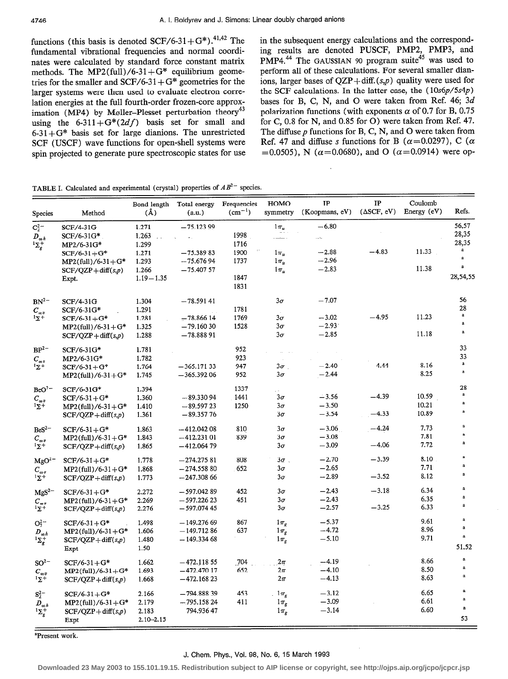spin projected to generate pure spectroscopic states for use

functions (this basis is denoted  $SCF/6-31+G^*$ ).<sup>41,42</sup> The in the subsequent energy calculations and the correspond-<br>fundamental vibrational frequencies and normal coordi-<br>ing results are denoted PUSCF, PMP2, PMP3, and fundamental vibrational frequencies and normal coordi- ing results are denoted PUSCF, PMP2, PMP3, and nates were calculated by standard force constant matrix PMP4.<sup>44</sup> The GAUSSIAN 90 program suite<sup>44</sup> was used to methods. The MP2(full)/6-31+G\* equilibrium geome-<br>tries for the smaller and SCF/6-31+G\* geometries for the ions, larger bases of QZP+diff.(s,p) quality were used for tries for the smaller and SCF/6-31+G\* geometries for the ions, larger bases of QZP+diff.  $(s,p)$  quality were used for larger systems were then used to evaluate electron corre-<br>the SCF calculations. In the latter case, the larger systems were then used to evaluate electron corre-<br>lation energies at the full fourth-order frozen-core approx-<br>bases for B, C, N, and O were taken from Ref. 46; 3d lation energies at the full fourth-order frozen-core approx-<br>imation (MP4) by Møller-Plesset perturbation theory<sup>43</sup> polarization functions (with exponents  $\alpha$  of 0.7 for B, 0.75 imation (MP4) by Møller-Plesset perturbation theory<sup>43</sup> polarization functions (with exponents  $\alpha$  of 0.7 for B, 0.75<br>using the 6-311+G<sup>\*</sup>(2*df*) basis set for small and for C, 0.8 for N, and 0.85 for O) were taken from using the 6-311+G\*( $2df$ ) basis set for small and for C, 0.8 for N, and 0.85 for O) were taken from Ref. 47.<br>6-31+G\* basis set for large dianions. The unrestricted The diffuse p functions for B, C, N, and O were taken from 6-31 + G\* basis set for large dianions. The unrestricted The diffuse p functions for B, C, N, and O were taken from SCF (USCF) wave functions for open-shell systems were Ref. 47 and diffuse s functions for B ( $\alpha$ =0.0297) SCF (USCF) wave functions for open-shell systems were Ref. 47 and diffuse s functions for B ( $\alpha$ =0.0297), C ( $\alpha$  spin projected to generate pure spectroscopic states for use =0.0505), N ( $\alpha$ =0.0680), and O ( $\alpha$ =0.0914

TABLE I. Calculated and experimental (crystal) properties of  $AB^{2-}$  species.

| <b>Species</b>                                  | Method                           | $(\AA)$                               | Bond length Total energy<br>(a.u.) | Frequencies<br>$(cm^{-1})$ | HOMO<br>symmetry | $_{\rm IP}$<br>(Koopmans, eV) | $\mathbf{IP}$<br>$(\Delta SCF, eV)$ | Coulomb<br>Energy (eV) | Refs.        |
|-------------------------------------------------|----------------------------------|---------------------------------------|------------------------------------|----------------------------|------------------|-------------------------------|-------------------------------------|------------------------|--------------|
| $C_2^{2-}$                                      | SCF/4-31G                        | 1.271                                 | $-75.12399$                        |                            | $1\pi_{\mu}$     | $-6.80$                       |                                     |                        | 56,57        |
|                                                 | $SCF/6-31G*$                     | 1,263<br>$\mathcal{L}_{\mathrm{eff}}$ | $\omega_{\rm{th}}$                 | 1998                       | والمستعمدة       | ЦĽ,                           |                                     |                        | 28,35        |
| $D_{\infty h} \atop {^1\Sigma_g^+}$             | MP2/6-31G*                       | 1.299                                 |                                    | 1716                       |                  |                               |                                     |                        | 28,35        |
|                                                 | $SCF/6-31+G*$                    | 1.271                                 | $-75.38983$                        | 1900                       | $1\pi_{u}$       | $-2.88$                       | $-4.83$                             | 11.33                  | a            |
|                                                 | $MP2$ (full)/6-31+G*             | 1.293                                 | -75.67694                          | 1737                       | $1\pi_{\nu}$     | $-2.96$                       |                                     |                        | $\mathbf a$  |
|                                                 | $SCF/QZP + diff(s,p)$            | 1.266                                 | $-75.40757$                        |                            | $1\pi_u$         | $-2.83$                       |                                     | 11.38                  | a            |
|                                                 | Expt.                            | $1.19 - 1.35$                         |                                    | 1847                       |                  |                               |                                     |                        | 28,54,55     |
|                                                 |                                  |                                       |                                    | 1831                       |                  |                               |                                     |                        |              |
| BN <sup>2</sup>                                 | SCF/4-31G                        | 1.304                                 | $-78.59141$                        |                            | $3\sigma$        | $-7.07$                       |                                     |                        | 56           |
| $C_{\infty v}$                                  | $SCF/6-31G*$                     | 1.291                                 |                                    | 1781                       |                  |                               |                                     |                        | 28           |
| $1\overline{\Sigma}$ +                          | $SCF/6-31+G*$                    | 1.281                                 | - 78.866 14                        | 1769                       | $3\sigma$        | $-3.02$                       | $-4.95$                             | 11.23                  | $\mathbf{a}$ |
|                                                 | $MP2$ (full)/6-31+G <sup>*</sup> | 1.325                                 | -79.16030                          | 1528                       | $3\sigma$        | $-2.93$                       |                                     |                        | $\mathbf{a}$ |
|                                                 | $SCF/QZP + diff(s,p)$            | 1.288                                 | -78.88891                          |                            | $3\sigma$        | $-2.85$                       |                                     | 11.18                  | $\bf{a}$     |
| BP <sup>2</sup>                                 | SCF/6-31G*                       | 1.781                                 |                                    | 952                        |                  |                               |                                     |                        | 33           |
| $C_{\infty v}$                                  | $MP2/6-31G*$                     | 1.782                                 |                                    | 923                        |                  |                               |                                     |                        | 33           |
| $1\Sigma^+$                                     | $SCF/6-31+G*$                    | 1.764                                 | $-365.17133$                       | 947                        | $3\sigma$        | $-2.40$                       | $-4.44$                             | 8.16                   | a            |
|                                                 | $MP2$ (full)/6-31+G*             | 1.745                                 | $-365.39206$                       | 952                        | $3\sigma$        | $-2.44$                       |                                     | 8.25                   | $\bf a$      |
| $BeO^{2-}$                                      | SCF/6-31G*                       | 1.394                                 |                                    | 1337                       |                  |                               |                                     |                        | 28           |
| $C_{\infty v}$                                  | $SCF/6-31+G*$                    | 1.360                                 | $-89.33094$                        | 1441                       | $3\sigma$        | $-3.56$                       | $-4.39$                             | 10.59                  | $\bf a$      |
| $1\Sigma^+$                                     | $MP2$ (full)/6-31+G*             | 1.410                                 | $-89.59723$                        | 1250                       | $3\sigma$        | $-3.50$                       |                                     | 10.21                  | $\bf{a}$     |
|                                                 | $SCF/QZP + diff(s,p)$            | 1.361                                 | $-89.35776$                        |                            | $3\sigma$        | $-3.54$                       | $-4.33$                             | 10.89                  | $\bf a$      |
| $\mathrm{BeS}^{2-}$                             | $SCF/6-31+G*$                    | 1.863                                 | $-412.04208$                       | 810                        | $3\sigma$        | $-3.06$                       | $-4.24$                             | 7.73                   | a            |
|                                                 | $MP2$ (full)/6-31+G*             | 1.843                                 | $-412.23101$                       | 839                        | $3\sigma$        | $-3.08$                       |                                     | 7.81                   |              |
| $\underset{^1\Sigma^+}{C_{\infty v}}$           | $SCF/QZP + diff(s,p)$            | 1.865                                 | $-412.06479$                       |                            | $3\sigma$        | $-3.09$                       | $-4.06$                             | 7.72                   |              |
|                                                 |                                  |                                       |                                    | 808                        | $3\sigma$ .      | $-2.70$                       | $-3.39$                             | 8.10                   |              |
| MgO <sup>2</sup>                                | $SCF/6-31+G*$                    | 1.778                                 | $-274.27581$                       | 652                        | $3\sigma$        | $-2.65$                       |                                     | 7.71                   |              |
| $\underset{\mathrm{i}\Sigma^{+}}{C_{\infty v}}$ | $MP2$ (full)/6-31+G*             | 1.868                                 | $-274.55880$                       |                            | $3\sigma$        | $-2.89$                       | $-3.52$                             | 8.12                   |              |
|                                                 | $SCF/QZP + diff(s,p)$            | 1.773                                 | $-247.30866$                       |                            |                  |                               |                                     |                        |              |
| $MgS^{2-}$                                      | $SCF/6-31+G*$                    | 2.272                                 | $-597.04289$                       | 452                        | $3\sigma$        | $-2.43$                       | $-3.18$                             | 6.34                   | a            |
|                                                 | $MP2$ (full)/6-31+G*             | 2.269                                 | $-597.22623$                       | 451                        | $3\sigma$        | $-2.43$                       |                                     | 6.35                   |              |
| $C_{\infty\nu}$<br>$\frac{1}{2}$                | $SCF/QZP + diff(s,p)$            | 2.276                                 | - 597.074 45                       |                            | $3\sigma$        | $-2.57$                       | $-3.25$                             | 6.33                   |              |
| $O_2^{2-}$                                      | $SCF/6-31+G*$                    | 1.498                                 | $-149.27669$                       | 867                        | $1\pi_{\rm g}$   | $-5.37$                       |                                     | 9.61                   | $\bf a$      |
| $D_{\infty h}$                                  | $MP2$ (full)/6-31+G*             | 1.606                                 | - 149.71286                        | 637                        | $1\pi_{q}$       | $-4.72$                       |                                     | 8.96                   | $\bf a$      |
| $1\sum_{g}$                                     | $SCF/QZP + diff(s,p)$            | 1.480                                 | $-149.33468$                       |                            | $1\pi_g$         | $-5.10$                       |                                     | 9.71                   | $\bf a$      |
|                                                 | Expt                             | 1.50                                  |                                    |                            |                  |                               |                                     |                        | 51,52        |
| $SO2-$                                          | $SCF/6-31+G*$                    | 1.662                                 | $-472.11855$                       | 704                        | $2\pi$           | $-4.19$                       |                                     | 8.66                   | $\mathbf a$  |
|                                                 | $MP2$ (full)/6-31+G*             | 1.693                                 | $-472.47017$                       | 652                        | $2\pi$           | $-4.10$                       |                                     | 8.50                   | a            |
| $\frac{C_{\infty v}}{1 \sum_{i=1}^{n} C_{i}}$   | $SCF/QZP + diff(s,p)$            | 1.668                                 | $-472.16823$                       |                            | $2\pi$           | $-4.13$                       |                                     | 8.63                   | a            |
| $\mathbf{S}_2^{2-}$                             | $SCF/6-31+G*$                    | 2.166                                 | $-794.88839$                       | 453                        | $1\pi_{\rm c}$   | $-3.12$                       |                                     | 6.65                   | a            |
|                                                 | $MP2$ (full)/6-31+G*             | 2.179                                 | $-795.15824$                       | 411                        | $1\pi_{g}$       | $-3.09$                       |                                     | 6.61                   | $\bf a$      |
| $D_{\infty h} \atop {^1\Sigma_g^+}$             | $SCF/QZP + diff(s,p)$            | 2.183                                 | 794.93647                          |                            | $1\pi_{g}$       | $-3.14$                       |                                     | 6.60                   | $\bf a$      |
|                                                 | Expt                             | 2.10-2.15                             |                                    |                            |                  |                               |                                     |                        | 53           |

'Present work.

#### J. Chem. Phys., Vol. 98, No. 6, 15 March 1993

**Downloaded 23 May 2003 to 155.101.19.15. Redistribution subject to AIP license or copyright, see http://ojps.aip.org/jcpo/jcpcr.jsp**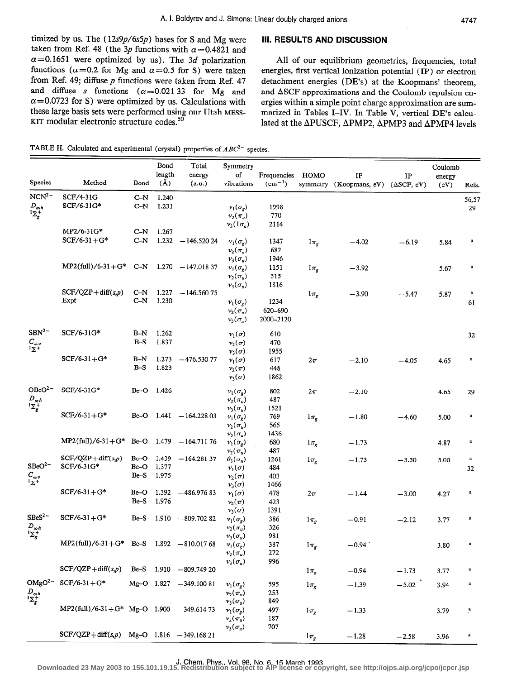timized by us. The  $(12s9p/6s5p)$  bases for S and Mg were taken from Ref. 48 (the 3p functions with  $\alpha$ =0.4821 and  $\alpha$ =0.1651 were optimized by us). The 3d polarization functions ( $\alpha$ =0.2 for Mg and  $\alpha$ =0.5 for S) were taken from Ref. 49; diffuse  $p$  functions were taken from Ref. 47 and diffuse s functions  $(\alpha=0.02133)$  for Mg and  $\alpha$ =0.0723 for S) were optimized by us. Calculations with these large basis sets were performed using our Utah MESS-KIT modular electronic structure codes. $50$ 

## III. RESULTS AND DISCUSSION

All of our equilibrium geometries, frequencies, total energies, first vertical ionization potential (IP) or electron detachment energies (DE's) at the Koopmans' theorem, and ASCF approximations and the Coulomb repulsion energies within a simple point charge approximation are summarized in Tables I-IV. In Table V, vertical DE's calculated at the APUSCF, APMP2, APMP3 and APMP4 levels

TABLE II. Calculated and experimental (crystal) properties of  $ABC^{2-}$  species.

|                                                                                                          |                                              |              | Bond           | Total                     | Symmetry                           |             |                     |                                               |         | Coulomb |                           |
|----------------------------------------------------------------------------------------------------------|----------------------------------------------|--------------|----------------|---------------------------|------------------------------------|-------------|---------------------|-----------------------------------------------|---------|---------|---------------------------|
|                                                                                                          | Method                                       |              | length         | energy                    | of                                 | Frequencies | HOMO                | IP                                            | IP      | energy  |                           |
| <b>Species</b>                                                                                           |                                              | Bond         | $(\AA)$        | (a.u.)                    | vibrations                         | $(cm^{-1})$ |                     | symmetry (Koopmans, eV) $(\triangle$ SCF, eV) |         | (eV)    | Refs.                     |
| $NCN^2$                                                                                                  | SCF/4-31G                                    | $C-N$        | 1.240          |                           |                                    |             |                     |                                               |         |         | 56,57                     |
| $D_{\omega h} \over \Sigma_{g}^+$                                                                        | SCF/6-31G*                                   | $C-N$        | 1.231          |                           | $v_1(\sigma_g)$<br>$v_2(\pi_u)$    | 1998<br>770 |                     |                                               |         |         | 29                        |
|                                                                                                          |                                              |              |                |                           | $v_3(1\sigma_u)$                   | 2114        |                     |                                               |         |         |                           |
|                                                                                                          | MP2/6-31G*                                   | $C-N$        | 1.267          |                           |                                    |             |                     |                                               |         |         |                           |
|                                                                                                          | $SCF/6-31+G*$                                | $C-N$        |                | $1.232 - 146.52024$       | $v_1(\sigma_g)$                    | 1347        | $1\pi_{\rm g}$      | $-4.02$                                       | $-6.19$ | 5.84    | a                         |
|                                                                                                          |                                              |              |                |                           | $v_2(\pi_u)$                       | 682         |                     |                                               |         |         |                           |
|                                                                                                          | $MP2$ (full)/6-31+G*                         | $C-N$        | 1.270          | $-147.01837$              | $\nu_3(\sigma_u)$                  | 1946        |                     |                                               |         |         | a                         |
|                                                                                                          |                                              |              |                |                           | $v_1(\sigma_g)$<br>$v_2(\pi_u)$    | 1151<br>515 | $1\pi_g$            | $-3.92$                                       |         | 5.67    |                           |
|                                                                                                          |                                              |              |                |                           | $v_3(\sigma_u)$                    | 1816        |                     |                                               |         |         |                           |
|                                                                                                          | $SCF/QZP + diff(s,p)$                        | $C-N$        | 1.227          | $-146.56075$              |                                    |             | $1\pi_g$            | $-3.90$                                       | $-5.47$ | 5.87    | $\bf a$                   |
|                                                                                                          | Expt                                         | $C-N$        | 1.230          |                           | $v_1(\sigma_g)$                    | 1234        |                     |                                               |         |         | 61                        |
|                                                                                                          |                                              |              |                |                           | $v_2(\pi_u)$                       | 620-690     |                     |                                               |         |         |                           |
|                                                                                                          |                                              |              |                |                           | $v_3(\sigma_u)$                    | 2000-2120   |                     |                                               |         |         |                           |
| $SBN^{2-}$                                                                                               | SCF/6-31G*                                   | $B-N$        | 1.262          |                           | $v_1(\sigma)$                      | 610         |                     |                                               |         |         | 32                        |
| $C_{\infty v}$<br>$\frac{1}{2} \sum_{i=1}^{n}$                                                           |                                              | $B-S$        | 1.837          |                           | $\nu_2(\pi)$                       | 470         |                     |                                               |         |         |                           |
|                                                                                                          |                                              |              |                |                           | $v_3(\sigma)$                      | 1955        |                     |                                               |         |         |                           |
|                                                                                                          | $SCF/6-31+G*$                                | $B-N$        | 1.273          | $-476.53077$              | $v_1(\sigma)$                      | 617         | $2\pi$              | $-2.10$                                       | $-4.05$ | 4.65    | $\bf a$                   |
|                                                                                                          |                                              | $B-S$        | 1.823          |                           | $v_2(\pi)$                         | 448         |                     |                                               |         |         |                           |
|                                                                                                          |                                              |              |                |                           | $v_3(\sigma)$                      | 1862        |                     |                                               |         |         |                           |
| OBcO <sup>2-</sup>                                                                                       | SCF/6-31G*                                   | Be-O         | 1.426          |                           | $v_1(\sigma_g)$                    | 802         | $2\pi$              | $-2.10$                                       |         | 4.65    | 29                        |
| $D_{\omega h}$<br>$1\sum_{g}$                                                                            |                                              |              |                |                           | $v_2(\pi_v)$                       | 487         |                     |                                               |         |         |                           |
|                                                                                                          |                                              |              |                |                           | $v_3(\sigma_u)$                    | 1521        |                     |                                               |         |         |                           |
|                                                                                                          | $SCF/6-31+G*$                                |              |                | Be-O $1.441 - 164.22803$  | $v_1(\sigma_g)$                    | 769         | $1\pi$ <sub>g</sub> | $-1.80$                                       | $-4.60$ | 5.00    | a                         |
|                                                                                                          |                                              |              |                |                           | $v_2(\pi_u)$                       | 565         |                     |                                               |         |         |                           |
|                                                                                                          | $MP2$ (full)/6-31+G* Be-O 1.479              |              |                | $-164.71176$              | $v_3(\sigma_u)$<br>$v_1(\sigma_g)$ | 1436<br>680 | $1\pi_g$            | $-1.73$                                       |         | 4.87    | a                         |
|                                                                                                          |                                              |              |                |                           | $v_2(\pi_u)$                       | 487         |                     |                                               |         |         |                           |
|                                                                                                          | $SCF/QZP + diff(s,p)$                        | $Be-O$       | 1.439          | $-164.28137$              | $\theta_3(\sigma_u)$               | 1261        | $1\pi_g$            | $-1.73$                                       | $-3.50$ | 5.00    | $\overset{\mathbf{a}}{-}$ |
| SBeO <sup>2</sup>                                                                                        | SCF/6-31G*                                   | Be-O         | 1.377          |                           | $v_1(\sigma)$                      | 484         |                     |                                               |         |         | 32                        |
| $C_{\infty v}$<br>iΣ+                                                                                    |                                              | Be-S         | 1.975          |                           | $v_2(\pi)$                         | 403         |                     |                                               |         |         |                           |
|                                                                                                          |                                              |              |                |                           | $v_3(\sigma)$                      | 1466        |                     |                                               |         |         |                           |
|                                                                                                          | $SCF/6-31+G*$                                | Be-O<br>Be-S | 1.392<br>1.976 | $-486.97683$              | $v_1(\sigma)$                      | 478         | $2\pi$              | $-1.44$                                       | $-3.00$ | 4.27    | $\bf a$                   |
|                                                                                                          |                                              |              |                |                           | $\nu_2(\pi)$<br>$v_3(\sigma)$      | 423<br>1391 |                     |                                               |         |         |                           |
| SBeS <sup>2</sup>                                                                                        | $SCF/6-31+G*$                                | Be-S         | 1.910          | $-809.70282$              | $v_1(\sigma_g)$                    | 386         | $1\pi_{g}$          | $-0.91$                                       | $-2.12$ | 3.77    | a                         |
| $D_{\infty h}$                                                                                           |                                              |              |                |                           | $v_2(\pi_u)$                       | 326         |                     |                                               |         |         |                           |
| $1\Sigma_g^+$                                                                                            |                                              |              |                |                           | $v_3(\sigma_u)$                    | 981         |                     |                                               |         |         |                           |
|                                                                                                          | $MP2$ (full)/6-31+G* Be-S                    |              |                | $1.892 - 810.01768$       | $v_1(\sigma_g)$                    | 387         | $1\pi_g$            | $-0.94$                                       |         | 3.80    | a                         |
|                                                                                                          |                                              |              |                |                           | $v_2(\pi_u)$                       | 272         |                     |                                               |         |         |                           |
|                                                                                                          | $SCF/QZP + diff(s,p)$                        |              |                | Be-S $1.910 - 809.74920$  | $v_3(\sigma_u)$                    | 996         |                     |                                               |         |         | $\mathbf a$               |
|                                                                                                          |                                              |              |                |                           |                                    |             | $1\pi_g$            | $-0.94$                                       | $-1.73$ | 3.77    |                           |
| $OMgO2-$                                                                                                 | $SCF/6-31+G*$                                |              |                | $Mg-O$ 1.827 $-349.10081$ | $v_1(\sigma_g)$                    | 595         | $1\pi_g$            | $-1.39$                                       | $-5.02$ | 3.94    | a                         |
| $D_{\underset{\mathbf{I}_{\mathbf{g}}} \underset{\mathbf{g}} \sim h}{D_{\underset{\mathbf{g}}} \sim h}}$ |                                              |              |                |                           | $v_2(\pi_u)$                       | 253         |                     |                                               |         |         |                           |
|                                                                                                          | $MP2$ (full)/6-31+G* Mg-O 1.900 -349.61473   |              |                |                           | $v_3(\sigma_u)$                    | 849         |                     |                                               |         |         |                           |
|                                                                                                          |                                              |              |                |                           | $v_1(\sigma_g)$<br>$v_2(\pi_u)$    | 497<br>187  | $1\pi_g$            | $-1.33$                                       |         | 3.79    | $\ddot{\phantom{a}}$      |
|                                                                                                          |                                              |              |                |                           | $v_3(\sigma_u)$                    | 707         |                     |                                               |         |         |                           |
|                                                                                                          | $SCF/QZP + diff(s,p)$ Mg-O 1.816 -349.168 21 |              |                |                           |                                    |             | $1\pi_g$            | $-1.28$                                       | $-2.58$ | 3.96    | a                         |

J. Chem. Phys., Vol. 98, No. 6, 15 March 1993 **Downloaded 23 May 2003 to 155.101.19.15. Redistribution subject to AIP license or copyright, see http://ojps.aip.org/jcpo/jcpcr.jsp**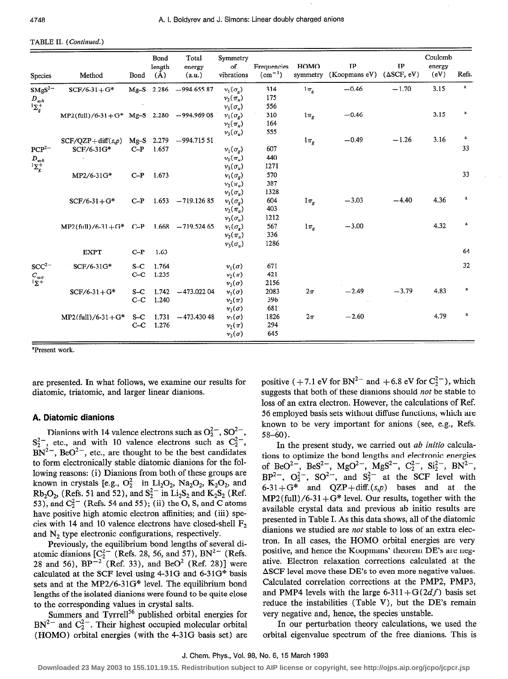#### TABLE II. (Continued.)

| <b>Species</b>                                           | Method                                      | Bond           | Bond<br>length<br>$(\check{A})$ | Total<br>energy<br>(a.u.) | Symmetry<br>of<br>vibrations                                          | Frequencies<br>$(cm^{-1})$ | HOMO                | IP<br>symmetry (Koopmans eV) | IP<br>$(\Delta SCF, eV)$ | Coulomb<br>energy<br>(eV) | Refs.        |
|----------------------------------------------------------|---------------------------------------------|----------------|---------------------------------|---------------------------|-----------------------------------------------------------------------|----------------------------|---------------------|------------------------------|--------------------------|---------------------------|--------------|
| SMgS <sup>2</sup><br>$D_{\infty h} \atop {^1\Sigma_g^+}$ | $SCF/6-31+G*$                               |                |                                 | $Mg-S$ 2.286 - 994.655 87 | $v_1(\sigma_g)$<br>$\nu_2(\pi_v)$                                     | 314<br>175                 | $1\pi$ <sub>e</sub> | $-0.46$                      | $-1.70$                  | 3.15                      | $\mathbf{a}$ |
|                                                          | $MP2$ (full)/6-31+G* Mg-S 2.280 -994.969 08 |                |                                 |                           | $v_3(\sigma_\nu)$<br>$v_1(\sigma_g)$<br>$\nu_2(\pi_u)$                | 556<br>310<br>164          | $1\pi$ <sub>g</sub> | $-0.46$                      |                          | 3.15                      | $\bf a$      |
| $PCP^{2-}$                                               | $SCF/OZP + diff(s,p)$<br>SCF/6-31G*         | $C-P$          | Mg-S 2.279<br>1.657             | $-994.71551$              | $v_3(\sigma_u)$<br>$v_1(\sigma_o)$<br>$v_2(\pi_u)$                    | 555<br>607<br>440          | $1\pi_g$            | $-0.49$                      | $-1.26$                  | 3.16                      | a<br>33      |
| $\overset{D_{\infty h}}{^1\Sigma_g^+}$                   | MP2/6-31G*                                  | $C-P$          | 1.673                           |                           | $v_3(\sigma_u)$<br>$v_1(\sigma_g)$<br>$v_2(\pi_u)$                    | 1271<br>570<br>387<br>1328 |                     |                              |                          |                           | 33           |
|                                                          | $SCF/6-31+G*$                               | $C-P$          | 1.653                           | $-719.12685$              | $v_3(\sigma_u)$<br>$v_1(\sigma_o)$<br>$v_2(\pi_u)$<br>$v_3(\sigma_u)$ | 604<br>403<br>1212         | $1\pi_{\sigma}$     | $-3.03$                      | $-4.40$                  | 4.36                      | a            |
|                                                          | $MP2$ (full)/6-31+G* C-P                    |                |                                 | $1.668 - 719.52465$       | $v_1(\sigma_g)$<br>$\nu_2(\pi_n)$<br>$v_3(\sigma_u)$                  | 567<br>336<br>1286         | $1\pi_g$            | $-3.00$                      |                          | 4.32                      | $\bf a$      |
|                                                          | <b>EXPT</b>                                 | $C-P$          | 1.63                            |                           |                                                                       |                            |                     |                              |                          |                           | 64           |
| SCC <sup>2</sup><br>$C_{\infty v}$<br>$\frac{1}{2}$      | SCF/6-31G*                                  | $S-C$<br>$C-C$ | 1.764<br>1.235                  |                           | $v_1(\sigma)$<br>$v_2(\pi)$<br>$v_3(\sigma)$                          | 671<br>421<br>2156         |                     |                              |                          |                           | 32           |
|                                                          | $SCF/6-31+G*$                               | $S-C$<br>$C-C$ | 1.742<br>1.240                  | $-473.02204$              | $v_1(\sigma)$<br>$v_2(\pi)$<br>$v_3(\sigma)$                          | 2083<br>396<br>681         | $2\pi$              | $-2.49$<br>$\sim$            | $-3.79$                  | 4.83                      | a            |
|                                                          | $MP2$ (full)/6-31+G*                        |                | $S-C$ 1.731<br>$C-C$ 1.276      | $-473.43048$              | $v_1(\sigma)$<br>$\nu_{2}(\pi)$<br>$v_3(\sigma)$                      | 1826<br>294<br>645         | $2\pi$              | $-2.60$                      |                          | 4.79                      | a            |

'Present work.

are presented. In what follows, we examine our results for diatomic, triatomic, and larger linear dianions.

#### A. Diatomic dianions

Dianions with 14 valence electrons such as  $O_2^2$ , SO<sup>2-</sup>  $S_2^2$ , etc., and with 10 valence electrons such as  $C_2^2$ ,  $BN^{2-}$ , BeO<sup>2-</sup>, etc., are thought to be the best candidates to form electronically stable diatomic dianions for the following reasons: (i) Dianions from both of these groups are known in crystals [e.g.,  $O_2^{2-}$  in Li<sub>2</sub>O<sub>2</sub>, Na<sub>2</sub>O<sub>2</sub>, K<sub>2</sub>O<sub>2</sub>, and  $Rb_2O_2$ , (Refs. 51 and 52), and  $S_2^{2-}$  in  $Li_2S_2$  and  $K_2S_2$  (Ref. 53), and  $C_2^{2-}$  (Refs. 54 and 55); (ii) the O, S, and C atoms have positive high atomic electron affinities; and (iii) species with 14 and 10 valence electrons have closed-shell  $F_2$ and  $N<sub>2</sub>$  type electronic configurations, respectively.

Previously, the equilibrium bond lengths of several diatomic dianions  $[C_2^{2-}$  (Refs. 28, 56, and 57), BN<sup>2-</sup> (Refs. 28 and 56),  $BP^{-2}$  (Ref. 33), and BeO<sup>2</sup> (Ref. 28)] were calculated at the SCF level using 4-31G and  $6-31G^*$  basis sets and at the MP2/6-31G\* level. The equilibrium bond lengths of the isolated dianions were found to be quite close to the corresponding values in crystal salts.

Summers and Tyrrell<sup>56</sup> published orbital energies for  $BN^{2-}$  and  $C_2^{2-}$ . Their highest occupied molecular orbital (HOMO) orbital energies (with the 4-3 1G basis set) are

positive ( $+7.1$  eV for BN<sup>2-</sup> and  $+6.8$  eV for  $C_2^{2-}$ ), which suggests that both of these dianions should not be stable to loss of an extra electron. However, the calculations of Ref. 56 employed basis sets without diffuse functions, which are known to be very important for anions (see, e.g., Refs.  $58-60$ ).

In the present study, we carried out ab initio calculations to optimize the bond lengths and electronic energies of BeO<sup>2-</sup>, BeS<sup>2-</sup>, MgO<sup>2</sup>, MgS<sup>2</sup>, C<sub>2</sub>, Si<sub>2</sub>, BN<sup>2</sup>  $BP^{2-}$ ,  $O_2^{2-}$ ,  $SO^{2-}$ , and  $S_2^{2-}$  at the SCF level with  $6-31+G^*$  and  $QZP + diff.(s,p)$  bases and at the  $MP2(full)/6-31+G*$  level. Our results, together with the available crystal data and previous ab initio results are presented in Table I. As this data shows, all of the diatomic dianions we studied are not stable to loss of an extra electron. In all cases, the HOMO orbital energies are very positive, and hence the Koopmans' theorem DE's are negative. Electron relaxation corrections calculated at the ASCF level move these DE's to even more negative values. Calculated correlation corrections at the PMP2, PMP3, and PMP4 levels with the large 6-311+ $G(2df)$  basis set reduce the instabilities (Table V), but the DE's remain very negative and, hence, the species unstable.

In our perturbation theory calculations, we used the orbital eigenvalue spectrum of the free dianions. This is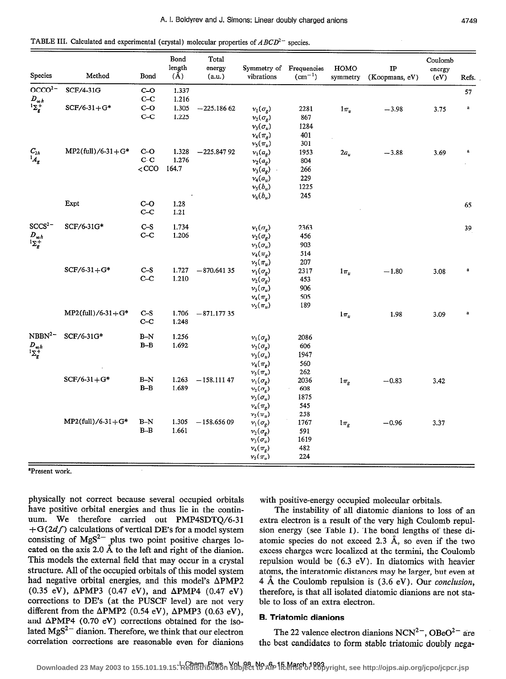TABLE III. Calculated and experimental (crystal) molecular properties of  $ABCD^{2-}$  species.

| OCCO <sup>2</sup><br>$D_{\underset{\xi}{\infty}h}$<br>$C_{2h}$ | SCF/4-31G<br>$SCF/6-31+G*$<br>$MP2$ (full)/6-31+G* | $C - O$<br>$C-C$<br>$C-O$<br>$C-C$ | $(\AA)$<br>1.337<br>1.216<br>1.305<br>1.225 | $-225.18662$ | $v_i(\sigma_g)$       | $(cm^{-1})$ | symmetry     | (Koopmans, eV) | (eV) | Refs.<br>57 |
|----------------------------------------------------------------|----------------------------------------------------|------------------------------------|---------------------------------------------|--------------|-----------------------|-------------|--------------|----------------|------|-------------|
|                                                                |                                                    |                                    |                                             |              |                       |             |              |                |      |             |
| ${}^1\!A_g$                                                    |                                                    |                                    |                                             |              |                       |             |              |                |      |             |
|                                                                |                                                    |                                    |                                             |              |                       | 2281        | $1\pi$       | $-3.98$        | 3.75 | $\bf a$     |
|                                                                |                                                    |                                    |                                             |              | $v_2(\sigma_g)$       | 867         |              |                |      |             |
|                                                                |                                                    |                                    |                                             |              | $v_3(\sigma_u)$       | 1284        |              |                |      |             |
|                                                                |                                                    |                                    |                                             |              | $\nu_4(\pi_g)$        | 401         |              |                |      |             |
|                                                                |                                                    |                                    |                                             |              | $v_5(\pi_u)$          | 301         |              |                |      |             |
|                                                                |                                                    | $C-O$                              | 1.328                                       | $-225.84792$ | $v_1(a_g)$            | 1953        | $2a_u$       | $-3.88$        | 3.69 | $\bf a$     |
|                                                                |                                                    | $C-C$                              | 1.276                                       |              | $v_2(a_g)$            | 804         |              |                |      |             |
|                                                                |                                                    | $<$ CCO                            | 164.7                                       |              | $v_3(a_g)$ .          | 266         |              |                |      |             |
|                                                                |                                                    |                                    |                                             |              | $\nu_4(a_u)$          | 229         |              |                |      |             |
|                                                                |                                                    |                                    |                                             |              | $v_5(b_u)$            | 1225        |              |                |      |             |
|                                                                |                                                    |                                    |                                             |              | $v_6(b_u)$            | 245         |              |                |      |             |
|                                                                | Expt                                               | $C-O$                              | 1.28                                        |              |                       |             |              |                |      | 65          |
|                                                                |                                                    | $C-C$                              | 1.21                                        |              |                       |             |              |                |      |             |
| SCCS <sup>2</sup>                                              | SCF/6-31G*                                         | $C-S$                              | 1.734                                       |              | $v_1(\sigma_g)$       | 2363        |              |                |      | 39          |
|                                                                |                                                    | $C-C$                              | 1.206                                       |              | $v_2(\bar{\sigma_g})$ | 456         |              |                |      |             |
| $D_{\underset{1}{\infty}h}$                                    |                                                    |                                    |                                             |              | $\nu_3(\sigma_u)$     | 903         |              |                |      |             |
|                                                                |                                                    |                                    |                                             |              | $v_4(\pi_g)$          | 514         |              |                |      |             |
|                                                                |                                                    |                                    |                                             |              | $\nu_5(\pi_u)$        | 207         |              |                |      |             |
|                                                                | $SCF/6-31+G*$                                      | $C-S$                              | 1.727                                       | $-870.64135$ | $v_1(\sigma_g)$       | 2317        | $1\pi$       | $-1.80$        | 3.08 | $\bf a$     |
|                                                                |                                                    | $C-C$                              | 1.210                                       |              | $v_2(\sigma_g)$       | 453         |              |                |      |             |
|                                                                |                                                    |                                    |                                             |              | $\nu_3(\sigma_u)$     | 906         |              |                |      |             |
|                                                                |                                                    |                                    |                                             |              | $v_4(\pi_g)$          | 505         |              |                |      |             |
|                                                                |                                                    |                                    |                                             |              | $v_5(\pi_u)$          | 189         |              |                |      |             |
|                                                                | $MP2$ (full)/6-31+G*                               | $C-S$                              | 1.706                                       | $-871.17735$ |                       |             | $1\pi_{\mu}$ | 1.98           | 3.09 | $\bf a$     |
|                                                                |                                                    | $C-C$                              | 1.248                                       |              |                       |             |              |                |      |             |
| NBBN <sup>2</sup>                                              | SCF/6-31G*                                         | $B-N$                              | 1.256                                       |              | $v_1(\sigma_g)$       | 2086        |              |                |      |             |
| $D_{\infty h} \atop {^1\Sigma_g^+}$                            |                                                    | $B-B$                              | 1.692                                       |              | $v_2(\sigma_g)$       | 606         |              |                |      |             |
|                                                                |                                                    |                                    |                                             |              | $v_3(\sigma_u)$       | 1947        |              |                |      |             |
|                                                                |                                                    |                                    |                                             |              | $\nu_4(\pi_g)$        | 560         |              |                |      |             |
|                                                                |                                                    |                                    |                                             |              | $v_5(\pi_u)$          | 262         |              |                |      |             |
|                                                                | $SCF/6-31+G*$                                      | $\mathbf{B}\text{-}\mathbf{N}$     | 1.263                                       | $-158.11147$ | $v_1(\sigma_g)$       | 2036        | $1\pi_g$     | $-0.83$        | 3.42 |             |
|                                                                |                                                    | $B-B$                              | 1.689                                       |              | $v_2(\sigma_g)$       | 608         |              |                |      |             |
|                                                                |                                                    |                                    |                                             |              | $v_3(\sigma_u)$       | 1875        |              |                |      |             |
|                                                                |                                                    |                                    |                                             |              | $v_4(\pi_g)$          | 545         |              |                |      |             |
|                                                                |                                                    |                                    |                                             |              | $\nu_5(\pi_u)$        | 258         |              |                |      |             |
|                                                                | $MP2$ (full)/6-31+G*                               | $B-N$                              | 1.305                                       | $-158.65609$ | $v_1(\sigma_g)$       | 1767        | $1\pi_{g}$   | $-0.96$        | 3.37 |             |
|                                                                |                                                    | $B - B$                            | 1.661                                       |              | $v_2(\sigma_g)$       | 591         |              |                |      |             |
|                                                                |                                                    |                                    |                                             |              | $v_3(\sigma_u)$       | 1619        |              |                |      |             |
|                                                                |                                                    |                                    |                                             |              | $\nu_4(\pi_g)$        | 482         |              |                |      |             |
|                                                                |                                                    |                                    |                                             |              | $\nu_5(\pi_u)$        | 224         |              |                |      |             |

physically not correct because several occupied orbitals have positive orbital energies and thus lie in the continuum. We therefore carried out PMP4SDTQ/6-31 + $G(2df)$  calculations of vertical DE's for a model system consisting of  $MgS^{2-}$  plus two point positive charges located on the axis 2.0 Å to the left and right of the dianion. This models the external field that may occur in a crystal structure. All of the occupied orbitals of this model system had negative orbital energies, and this model's  $\triangle PMP2$  $(0.35 \text{ eV})$ ,  $\Delta$ PMP3  $(0.47 \text{ eV})$ , and  $\Delta$ PMP4  $(0.47 \text{ eV})$ corrections to DE's (at the PUSCF level) are not very different from the  $\triangle PMP2$  (0.54 eV),  $\triangle PMP3$  (0.63 eV), and  $\Delta$ PMP4 (0.70 eV) corrections obtained for the isolated  $MgS^{2-}$  dianion. Therefore, we think that our electron correlation corrections are reasonable even for dianions

with positive-energy occupied molecular orbitals.

The instability of all diatomic dianions to loss of an extra electron is a result of the very high Coulomb repulsion energy (see Table I). The bond lengths of these diatomic species do not exceed 2.3  $\AA$ , so even if the two excess charges were localized at the termini, the Coulomb repulsion would be  $(6.3 \text{ eV})$ . In diatomics with heavier atoms, the interatomic distances may be larger, but even at 4 Å the Coulomb repulsion is (3.6 eV). Our *conclusion*, therefore, is that all isolated diatomic dianions are not stable to loss of an extra electron.

#### **B. Triatomic dianions**

The 22 valence electron dianions NCN<sup>2-</sup>, OBeO<sup>2-</sup> are the best candidates to form stable triatomic doubly nega-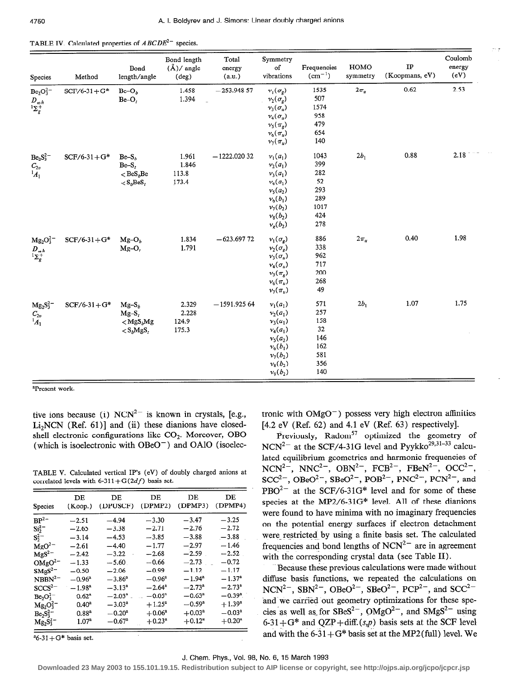| Species                                                 | Method          | Bond<br>length/angle                                                                        | Bond length<br>$(\AA)/$ angle<br>$(\text{deg})$ | Total<br>energy<br>(a.u.) | Symmetry<br>of<br>vibrations                                                                                                 | Frequencies<br>$(cm^{-1})$                                   | HOMO<br>symmetry | IP<br>(Koopmans, eV) | Coulomb<br>energy<br>(eV) |
|---------------------------------------------------------|-----------------|---------------------------------------------------------------------------------------------|-------------------------------------------------|---------------------------|------------------------------------------------------------------------------------------------------------------------------|--------------------------------------------------------------|------------------|----------------------|---------------------------|
| $Be2O32$<br>$D_{\infty h}$<br>${}^{1}\Sigma_{g}^{+}$    | $SCF/6-31 + G*$ | $Bc-O_b$<br>$Be-O_t$                                                                        | 1.458<br>1.394                                  | $-253.94857$              | $v_1(\sigma_g)$<br>$v_2(\sigma_g)$<br>$v_3(\sigma_u)$<br>$\nu_4(\sigma_u)$<br>$\nu_5(\pi_g)$<br>$v_6(\pi_u)$<br>$v_7(\pi_u)$ | 1535<br>507<br>1574<br>958<br>479<br>654<br>140              | $2\pi_{\rm n}$   | 0.62                 | 2.53                      |
| $Be2S32$<br>$\begin{array}{c} C_{2v} \ A_1 \end{array}$ | $SCF/6-31+G*$   | $Be-Sb$<br>Be-S,<br>$\langle$ BeS <sub>b</sub> Be<br>$\langle S_i$ BeS <sub>r</sub>         | 1.961<br>1.846<br>113.8<br>173.4                | $-1222.02032$             | $v_1(a_1)$<br>$v_2(a_1)$<br>$v_3(a_1)$<br>$v_4(a_1)$<br>$v_5(a_2)$<br>$v_6(b_1)$<br>$v_7(b_2)$<br>$v_8(b_2)$<br>$v_g(b_2)$   | 1043<br>399<br>282<br>52<br>293<br>289<br>1017<br>424<br>278 | $2b_1$           | 0.88                 | 2.18                      |
| $Mg_2O_3^{2-}$<br>$D_{\underset{1}{\sim}h}$             | $SCF/6-31+G*$   | $Mg-O_b$<br>$Mg-O$ ,                                                                        | 1.834<br>1.791                                  | $-623.69772$              | $v_1(\sigma_g)$<br>$v_2(\sigma_g)$<br>$v_3(\sigma_u)$<br>$v_4(\sigma_u)$<br>$v_5(\pi_g)$<br>$v_6(\pi_u)$<br>$v_7(\pi_u)$     | 886<br>338<br>962<br>717<br>200<br>268<br>49                 | $2\pi_u$         | 0.40                 | 1.98                      |
| $Mg_2S_3^2$ <sup>-</sup><br>$C_{2v}$<br>$^1A_1$         | $SCF/6-31+G*$   | $Mg-S_h$<br>$Mg-S$ ,<br>$<$ MgS <sub>b</sub> Mg<br>${}_{<}$ S <sub>b</sub> MgS <sub>t</sub> | 2.329<br>2.228<br>124.9<br>175.3                | $-1591.92564$             | $v_1(a_1)$<br>$v_2(a_1)$<br>$v_3(a_1)$<br>$v_4(a_1)$<br>$v_5(a_2)$<br>$v_6(b_1)$<br>$v_7(b_2)$<br>$v_8(b_2)$<br>$v_9(b_2)$   | 571<br>257<br>158<br>32<br>146<br>162<br>581<br>356<br>140   | $2b_1$           | 1.07                 | 1.75                      |

TABLE IV. Calculated properties of  $ABCDE^{2-}$  species.

<sup>a</sup>Present work.

tive ions because (i)  $NCN^{2-}$  is known in crystals, [e.g., Li<sub>2</sub>NCN (Ref. 61)] and (ii) these dianions have closedshell electronic configurations like CO<sub>2</sub>. Moreover, OBO (which is isoelectronic with  $OBeO^-$ ) and  $OAlO$  (isoelec-

TABLE V. Calculated vertical IP's (eV) of doubly charged anions at correlated levels with  $6-311+G(2df)$  basis set.

| <b>Species</b>    | DЕ<br>(Koop.)     | DE<br>(DPUSCF)  | DE<br>(DPMP2)   | DE<br>(DPMP3)        | DE.<br>(DPMP4)  |
|-------------------|-------------------|-----------------|-----------------|----------------------|-----------------|
| $BP^2$            | $-2.51$           | $-4.94$         | $-3.30$         | $-3.47$              | $-3.25$         |
| $Si_2^2$ –        | $-2.65$           | $-3.38$         | $-2.71$         | $-2.76$              | $-2.72$         |
| $S_2^{2-}$        | $-3.14$           | $-4.53$         | $-3.85$         | $-3.88$              | $-3.88$         |
| $MgO^{2-}$        | $-2.61$           | $-4.40$         | $-1.77$         | $-2.97$              | $-1.46$         |
| $MgS^{2-}$        | $-2.42$           | $-3.22$         | $-2.68$         | $-2.59$              | $-2.52$         |
| OMgO <sup>2</sup> | $-1.33$           | $-5.60$         | $-0.66$         | $-2.73$              | $-0.72$         |
| $SMgS^2$          | $-0.50$           | $-2.06$         | $-0.99$         | $-1.12$              | $-1.17$         |
| NBBN <sup>2</sup> | $-0.96^{\rm a}$   | $-3.86^{\rm a}$ | $-0.96^{\rm a}$ | $-1.94$ <sup>a</sup> | $-1.37^{a}$     |
| SCCS <sup>2</sup> | $-1.98^{\circ}$   | $-3.13^{a}$     | $-2.64^{\circ}$ | $-2.73^{\circ}$      | $-2.73^{\circ}$ |
| $Be2O32$          | $0.62^a$          | $-2.03^{\circ}$ | $-0.05^{\rm a}$ | $-0.63^a$            | $-0.39^{a}$     |
| $Mg_2O_3^{2-}$    | $0.40^a$          | $-3.03^{\circ}$ | $+1.25^{\rm a}$ | $-0.59^{a}$          | $+1.39^{a}$     |
| $Be_2S_3^{2-}$    | $0.88^{a}$        | $-0.20^a$       | $+0.06^a$       | $+0.03^a$            | $-0.03^{\rm a}$ |
| $Mg_{2}S_{3}^{2}$ | 1.07 <sup>a</sup> | $-0.67^{\circ}$ | $+0.23^{\circ}$ | $+0.12^{*}$          | $+0.20^*$       |

 $a$ 6-31+G\* basis set.

tronic with  $OMgO^{-}$ ) possess very high electron affinities [4.2 eV (Ref. 62) and 4.1 eV (Ref. 63) respectively].

Previously, Radom<sup>57</sup> optimized the geometry of  $NCN^{2-}$  at the SCF/4-31G level and Pyykko<sup>29,31-33</sup> calculated equilibrium geometries and harmonic frequencies of NCN<sup>2-</sup>, NNC<sup>2-</sup>, OBN<sup>2-</sup>, FCB<sup>2-</sup>, FBeN<sup>2-</sup>, OCC<sup>2-</sup>,<br>SCC<sup>2-</sup>, OBeO<sup>2-</sup>, SBeO<sup>2-</sup>, POB<sup>2-</sup>, PNC<sup>2-</sup>, PCN<sup>2-</sup>, and  $PBO<sup>2-</sup>$  at the SCF/6-31G\* level and for some of these species at the MP2/6-31G\* level. All of these dianions were found to have minima with no imaginary frequencies on the potential energy surfaces if electron detachment were restricted by using a finite basis set. The calculated frequencies and bond lengths of  $NCN^{2-}$  are in agreement with the corresponding crystal data (see Table II).

Because these previous calculations were made without diffuse basis functions, we repeated the calculations on  $NCN^{2-}$ ,  $SBN^{2-}$ ,  $OBeO^{2-}$ ,  $BeO^{2-}$ ,  $PCP^{2-}$ , and  $SCC^{2-}$ and we carried out geometry optimizations for these species as well as for  $SBes^{2-}$ ,  $OMgO^{2-}$ , and  $SMgS^{2-}$  using  $6-31+G^*$  and QZP+diff.(s,p) basis sets at the SCF level and with the  $6-31+G^*$  basis set at the MP2(full) level. We

#### J. Chem. Phys., Vol. 98, No. 6, 15 March 1993

Downloaded 23 May 2003 to 155.101.19.15. Redistribution subject to AIP license or copyright, see http://ojps.aip.org/jcpo/jcpcr.jsp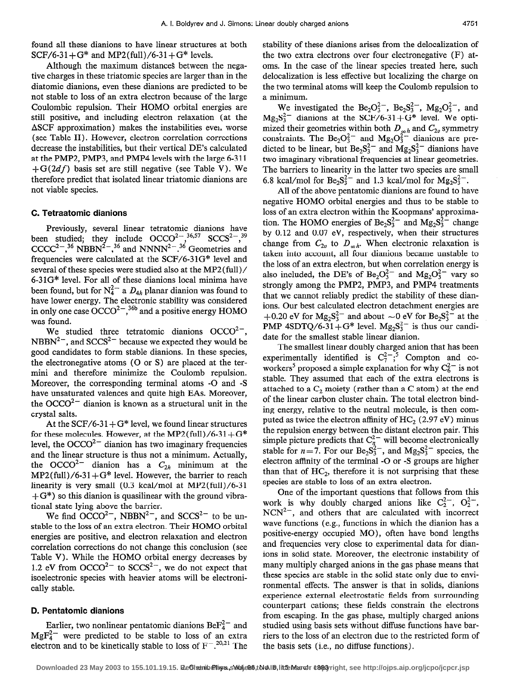found all these dianions to have linear structures at both  $SCF/6-31+G^*$  and MP2(full)/6-31+ $G^*$  levels.

Although the maximum distances between the negative charges in these triatomic species are larger than in the diatomic dianions, even these dianions are predicted to be not stable to loss of an extra electron because of the large Coulombic repulsion. Their HOMO orbital energies are still positive, and including electron relaxation (at the  $\Delta$ SCF approximation) makes the instabilities even, worse (see Table II). However, electron correlation corrections decrease the instabilities, but their vertical DE's calculated at the PMP2, PMP3, and PMP4 levels with the large 6-3 11  $+G(2df)$  basis set are still negative (see Table V). We therefore predict that isolated linear triatomic dianions are not viable species.

#### C. Tetraatomic dianions

Previously, several linear tetratomic dianions have been studied; they include  $OCCO^{2}$ ,  $\frac{36}{3}$ ,  $SCCS^{2}$ ,  $\frac{39}{3}$  $CCC^2$ ,<sup>36</sup> NBBN<sup>2-</sup>,<sup>36</sup> and NNNN<sup>2-1</sup>.<sup>36</sup> Geometries and frequencies were calculated at the SCF/6-31G\* level and several of these species were studied also at the MP2 (full) / 6-31G\* level. For all of these dianions local minima have been found, but for  $N_4^2$  a  $D_{4h}$  planar dianion was found to have lower energy. The electronic stability was considered in only one case  $\text{OCCO}^{2-36b}$  and a positive energy HOMO was found.

We studied three tetratomic dianions  $OCCO^{2-}$ , NBBN<sup>2-</sup>, and SCCS<sup>2-</sup> because we expected they would be good candidates to form stable dianions. In these species, the electronegative atoms (0 or S) are placed at the termini and therefore minimize the Coulomb repulsion. Moreover, the corresponding terminal atoms -0 and -S have unsaturated valences and quite high EAs. Moreover, the  $OCCO<sup>2-</sup>$  dianion is known as a structural unit in the crystal salts.

At the SCF/6-31 +  $G^*$  level, we found linear structures for these molecules. However, at the MP2(full)/6-31+ $G^*$ level, the  $OCCO<sup>2-</sup>$  dianion has two imaginary frequencies and the linear structure is thus not a minimum. Actually, the OCCO<sup>2-</sup> dianion has a  $C_{2h}$  minimum at the  $MP2(full)/6-31+G*$  level. However, the barrier to reach linearity is very small (0.3 kcal/mol at MP2(fu11)/6-31  $+$  G<sup>\*</sup>) so this dianion is quasilinear with the ground vibrational state lying above the barrier.

We find  $OCCO^{2-}$ , NBBN<sup>2-</sup>, and  $SCCS^{2-}$  to be unstable to the loss of an extra electron. Their HOMO orbital energies are positive, and electron relaxation and electron correlation corrections do not change this conclusion (see Table V). While the HOMO orbital energy decreases by 1.2 eV from  $OCCO^{2-}$  to  $SCCS^{2-}$ , we do not expect that isoelectronic species with heavier atoms will be electronically stable.

### D. Pentatomic dianions

Earlier, two nonlinear pentatomic dianions  $BeF_4^{2-}$  and  $MgF_4^{2-}$  were predicted to be stable to loss of an extra electron and to be kinetically stable to loss of  $F^{-1,20,21}$  The

stability of these dianions arises from the delocalization of the two extra electrons over four electronegative (F) atoms. In the case of the linear species treated here, such delocalization is less effective but localizing the charge on the two terminal atoms will keep the Coulomb repulsion to a minimum.

We investigated the  $Be_2O_3^{2-}$ ,  $Be_2S_3^{2-}$ ,  $Mg_2O_3^{2-}$ , and  $Mg_2S_3^{2-}$  dianions at the SCF/6-31+ $G^*$  level. We optimized their geometries within both  $D_{\infty h}$  and  $C_{2v}$  symmetry constraints. The  $Be<sub>2</sub>O<sub>3</sub><sup>2</sup>-$  and  $Mg<sub>2</sub>O<sub>3</sub><sup>2</sup>-$  dianions are predicted to be linear, but  $Be_2S_3^{2-}$  and  $Mg_2S_3^{2-}$  dianions have two imaginary vibrational frequencies at linear geometries. The barriers to linearity in the latter two species are small 6.8 kcal/mol for  $Be_2S_3^{2-}$  and 1.3 kcal/mol for  $Mg_2S_3^{2-}$ .

All of the above pentatomic dianions are found to have negative HOMO orbital energies and thus to be stable to loss of an extra electron within the Koopmans' approximation. The HOMO energies of  $Be_2S_3^{2-}$  and  $Mg_2S_3^{2-}$  change by 0.12 and 0.07 eV, respectively, when their structures change from  $C_{2v}$  to  $D_{\infty h}$ . When electronic relaxation is taken into account, all four dianions became unstable to the loss of an extra electron, but when correlation energy is also included, the DE's of Be<sub>2</sub>O<sub>3</sub><sup>-</sup> and Mg<sub>2</sub>O<sub>3</sub><sup>-</sup> vary so strongly among the PMP2, PMP3, and PMP4 treatments that we cannot reliably predict the stability of these dianions. Our best calculated electron detachment energies are +0.20 eV for  $Mg_2S_3^{2-}$  and about  $\sim$ 0 eV for Be<sub>2</sub>S<sub>3</sub><sup>2</sup>- at the PMP 4SDTQ/6-31+G<sup>\*</sup> level.  $Mg_2S_3^{2-}$  is thus our candidate for the smallest stable linear dianion.

The smallest linear doubly charged anion that has been experimentally identified is  $C_7^{2-1}$ , Compton and coworkers<sup>5</sup> proposed a simple explanation for why  $C_6^2$  is not stable. They assumed that each of the extra electrons is attached to a  $C_2$  moiety (rather than a C atom) at the end of the linear carbon cluster chain. The total electron binding energy, relative to the neutral molecule, is then computed as twice the electron affinity of  $HC_2$  (2.97 eV) minus the repulsion energy between the distant electron pair. This simple picture predicts that  $C_n^{2-}$  will become electronically stable for  $n=7$ . For our Be<sub>2</sub>S<sup>2</sup>/<sub>3</sub><sup>-</sup>, and Mg<sub>2</sub>S<sup>2</sup><sup>-</sup> species, the electron affinity of the terminal -0 or -S groups are higher than that of  $HC<sub>2</sub>$ , therefore it is not surprising that these species are stable to loss of an extra electron.

One of the important questions that follows from this work is why doubly charged anions like  $C_2^2$ ,  $O_2^2$  $NCN^{2-}$ , and others that are calculated with incorrect wave functions (e.g., functions in which the dianion has a positive-energy occupied MO), often have bond lengths and frequencies very close to experimental data for dianions in solid state. Moreover, the electronic instability of many multiply charged anions in the gas phase means that these species are stable in the solid state only due to environmental effects. The answer is that in solids, dianions experience external electrostatic fields from surrounding counterpart cations; these fields constrain the electrons from escaping. In the gas phase, multiply charged anions studied using basis sets without diffuse functions have barriers to the loss of an electron due to the restricted form of the basis sets (i.e., no diffuse functions).